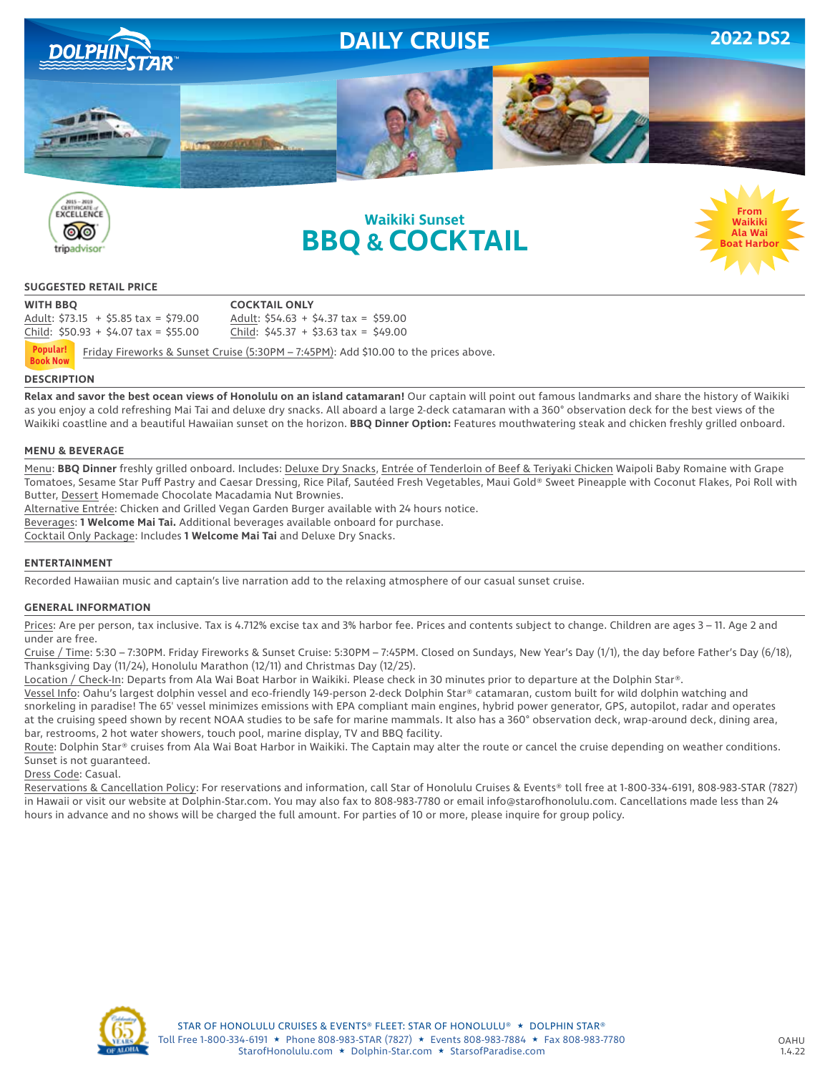





### **SUGGESTED RETAIL PRICE**

**WITH BBQ COCKTAIL ONLY**

Adult: \$73.15 + \$5.85 tax = \$79.00 Adult: \$54.63 + \$4.37 tax = \$59.00 Child:  $$50.93 + $4.07$  tax =  $$55.00$  Child:  $$45.37 + $3.63$  tax =  $$49.00$ 

 Friday Fireworks & Sunset Cruise (5:30PM – 7:45PM): Add \$10.00 to the prices above. **Popular! Book Now**

### **DESCRIPTION**

**Relax and savor the best ocean views of Honolulu on an island catamaran!** Our captain will point out famous landmarks and share the history of Waikiki as you enjoy a cold refreshing Mai Tai and deluxe dry snacks. All aboard a large 2-deck catamaran with a 360° observation deck for the best views of the Waikiki coastline and a beautiful Hawaiian sunset on the horizon. **BBQ Dinner Option:** Features mouthwatering steak and chicken freshly grilled onboard.

### **MENU & BEVERAGE**

Menu: **BBQ Dinner** freshly grilled onboard. Includes: Deluxe Dry Snacks, Entrée of Tenderloin of Beef & Teriyaki Chicken Waipoli Baby Romaine with Grape Tomatoes, Sesame Star Puff Pastry and Caesar Dressing, Rice Pilaf, Sautéed Fresh Vegetables, Maui Gold® Sweet Pineapple with Coconut Flakes, Poi Roll with Butter, Dessert Homemade Chocolate Macadamia Nut Brownies.

Alternative Entrée: Chicken and Grilled Vegan Garden Burger available with 24 hours notice.

Beverages: **1 Welcome Mai Tai.** Additional beverages available onboard for purchase.

Cocktail Only Package: Includes **1 Welcome Mai Tai** and Deluxe Dry Snacks.

### **ENTERTAINMENT**

Recorded Hawaiian music and captain's live narration add to the relaxing atmosphere of our casual sunset cruise.

### **GENERAL INFORMATION**

Prices: Are per person, tax inclusive. Tax is 4.712% excise tax and 3% harbor fee. Prices and contents subject to change. Children are ages 3 - 11. Age 2 and under are free.

Cruise / Time: 5:30 – 7:30PM. Friday Fireworks & Sunset Cruise: 5:30PM – 7:45PM. Closed on Sundays, New Year's Day (1/1), the day before Father's Day (6/18), Thanksgiving Day (11/24), Honolulu Marathon (12/11) and Christmas Day (12/25).

Location / Check-In: Departs from Ala Wai Boat Harbor in Waikiki. Please check in 30 minutes prior to departure at the Dolphin Star®.

Vessel Info: Oahu's largest dolphin vessel and eco-friendly 149-person 2-deck Dolphin Star® catamaran, custom built for wild dolphin watching and snorkeling in paradise! The 65' vessel minimizes emissions with EPA compliant main engines, hybrid power generator, GPS, autopilot, radar and operates at the cruising speed shown by recent NOAA studies to be safe for marine mammals. It also has a 360° observation deck, wrap-around deck, dining area, bar, restrooms, 2 hot water showers, touch pool, marine display, TV and BBQ facility.

Route: Dolphin Star® cruises from Ala Wai Boat Harbor in Waikiki. The Captain may alter the route or cancel the cruise depending on weather conditions. Sunset is not guaranteed.

Dress Code: Casual.

Reservations & Cancellation Policy: For reservations and information, call Star of Honolulu Cruises & Events® toll free at 1-800-334-6191, 808-983-STAR (7827) in Hawaii or visit our website at Dolphin-Star.com. You may also fax to 808-983-7780 or email info@starofhonolulu.com. Cancellations made less than 24 hours in advance and no shows will be charged the full amount. For parties of 10 or more, please inquire for group policy.



**From Waikiki Ala Wai Boat Harbor**